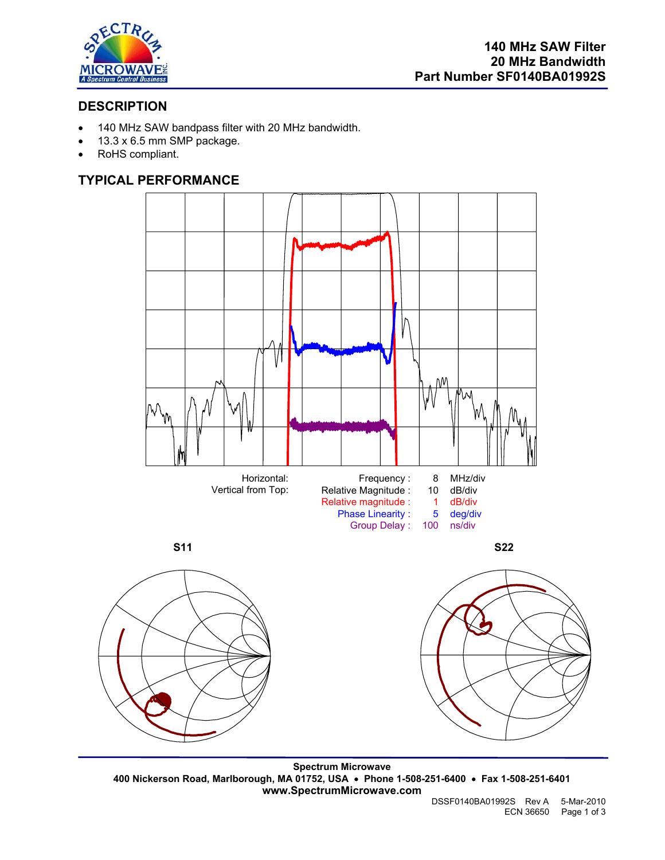

# **DESCRIPTION**

- 140 MHz SAW bandpass filter with 20 MHz bandwidth.
- 13.3 x 6.5 mm SMP package.
- RoHS compliant.

# **TYPICAL PERFORMANCE**





**Spectrum Microwave 400 Nickerson Road, Marlborough, MA 01752, USA** • **Phone 1-508-251-6400** • **Fax 1-508-251-6401 www.SpectrumMicrowave.com**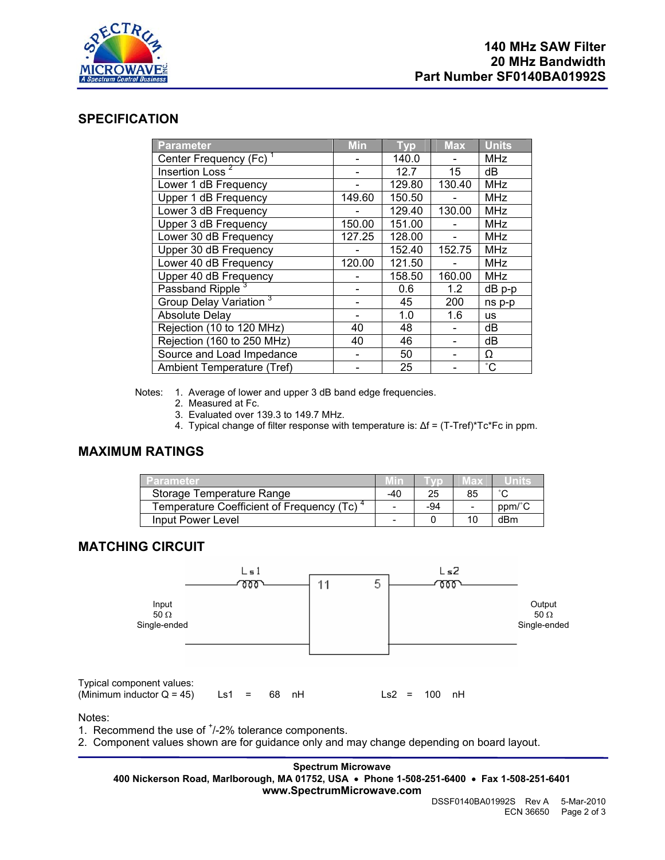

## **SPECIFICATION**

| <b>Parameter</b>                   | <b>Min</b> | Tvp    | <b>Max</b> | <b>Units</b> |
|------------------------------------|------------|--------|------------|--------------|
| Center Frequency (Fc) <sup>1</sup> |            | 140.0  |            | <b>MHz</b>   |
| Insertion Loss <sup>2</sup>        |            | 12.7   | 15         | dB           |
| Lower 1 dB Frequency               |            | 129.80 | 130.40     | <b>MHz</b>   |
| Upper 1 dB Frequency               | 149.60     | 150.50 |            | <b>MHz</b>   |
| Lower 3 dB Frequency               |            | 129.40 | 130.00     | <b>MHz</b>   |
| Upper 3 dB Frequency               | 150.00     | 151.00 |            | <b>MHz</b>   |
| Lower 30 dB Frequency              | 127.25     | 128.00 |            | <b>MHz</b>   |
| Upper 30 dB Frequency              |            | 152.40 | 152.75     | <b>MHz</b>   |
| Lower 40 dB Frequency              | 120.00     | 121.50 |            | <b>MHz</b>   |
| Upper 40 dB Frequency              |            | 158.50 | 160.00     | <b>MHz</b>   |
| Passband Ripple <sup>3</sup>       |            | 0.6    | 1.2        | dB p-p       |
| Group Delay Variation <sup>3</sup> |            | 45     | 200        | ns p-p       |
| <b>Absolute Delay</b>              |            | 1.0    | 1.6        | <b>us</b>    |
| Rejection (10 to 120 MHz)          | 40         | 48     |            | dB           |
| Rejection (160 to 250 MHz)         | 40         | 46     |            | dB           |
| Source and Load Impedance          |            | 50     |            | Ω            |
| Ambient Temperature (Tref)         |            | 25     |            | $^{\circ}$ C |

Notes: 1. Average of lower and upper 3 dB band edge frequencies.

- 2. Measured at Fc.
- 3. Evaluated over 139.3 to 149.7 MHz.
- 4. Typical change of filter response with temperature is: ∆f = (T-Tref)\*Tc\*Fc in ppm.

### **MAXIMUM RATINGS**

| Parameter                                 |     |     | ED. |        |
|-------------------------------------------|-----|-----|-----|--------|
| Storage Temperature Range                 | -40 | 25  | 85  |        |
| Temperature Coefficient of Frequency (Tc) |     | -94 |     | ppm/°C |
| Input Power Level                         |     |     |     | dBm    |

## **MATCHING CIRCUIT**



Notes:

1. Recommend the use of  $<sup>+</sup>/-2%$  tolerance components.</sup>

2. Component values shown are for guidance only and may change depending on board layout.

#### **Spectrum Microwave**

**400 Nickerson Road, Marlborough, MA 01752, USA** • **Phone 1-508-251-6400** • **Fax 1-508-251-6401**